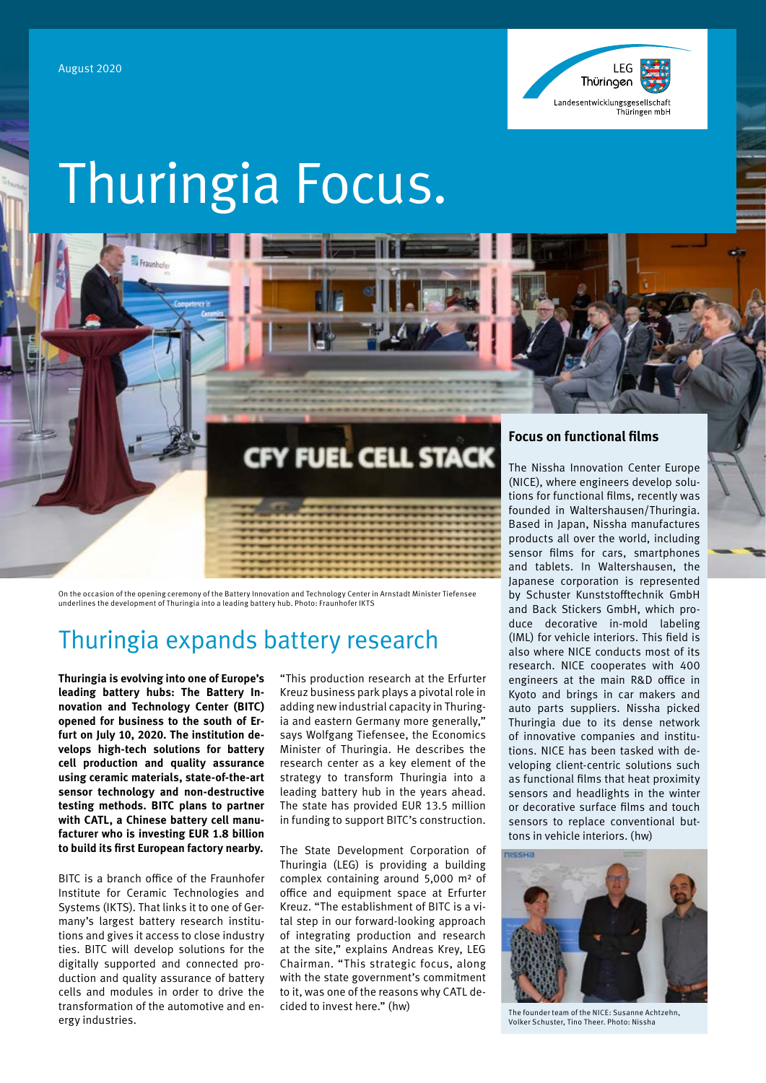

# Thuringia Focus.

On the occasion of the opening ceremony of the Battery Innovation and Technology Center in Arnstadt Minister Tiefensee<br>underlines the development of Thuringia into a leading battery hub. Photo: Fraunhofer IKTS

### Thuringia expands battery research

**Thuringia is evolving into one of Europe's leading battery hubs: The Battery Innovation and Technology Center (BITC) opened for business to the south of Erfurt on July 10, 2020. The institution develops high-tech solutions for battery cell production and quality assurance using ceramic materials, state-of-the-art sensor technology and non-destructive testing methods. BITC plans to partner with CATL, a Chinese battery cell manufacturer who is investing EUR 1.8 billion to build its first European factory nearby.**

BITC is a branch office of the Fraunhofer Institute for Ceramic Technologies and Systems (IKTS). That links it to one of Germany's largest battery research institutions and gives it access to close industry ties. BITC will develop solutions for the digitally supported and connected production and quality assurance of battery cells and modules in order to drive the transformation of the automotive and energy industries.

"This production research at the Erfurter Kreuz business park plays a pivotal role in adding new industrial capacity in Thuringia and eastern Germany more generally," says Wolfgang Tiefensee, the Economics Minister of Thuringia. He describes the research center as a key element of the strategy to transform Thuringia into a leading battery hub in the years ahead. The state has provided EUR 13.5 million in funding to support BITC's construction.

**CFY FUEL CELL STACK** 

The State Development Corporation of Thuringia (LEG) is providing a building complex containing around 5,000 m² of office and equipment space at Erfurter Kreuz. "The establishment of BITC is a vital step in our forward-looking approach of integrating production and research at the site," explains Andreas Krey, LEG Chairman. "This strategic focus, along with the state government's commitment to it, was one of the reasons why CATL decided to invest here." (hw)

### **Focus on functional films**

The Nissha Innovation Center Europe (NICE), where engineers develop solutions for functional films, recently was founded in Waltershausen/Thuringia. Based in Japan, Nissha manufactures products all over the world, including sensor films for cars, smartphones and tablets. In Waltershausen, the Japanese corporation is represented by Schuster Kunststofftechnik GmbH and Back Stickers GmbH, which produce decorative in-mold labeling (IML) for vehicle interiors. This field is also where NICE conducts most of its research. NICE cooperates with 400 engineers at the main R&D office in Kyoto and brings in car makers and auto parts suppliers. Nissha picked Thuringia due to its dense network of innovative companies and institutions. NICE has been tasked with developing client-centric solutions such as functional films that heat proximity sensors and headlights in the winter or decorative surface films and touch sensors to replace conventional buttons in vehicle interiors. (hw)



The founder team of the NICE: Susanne Achtzehn, Volker Schuster, Tino Theer. Photo: Nissha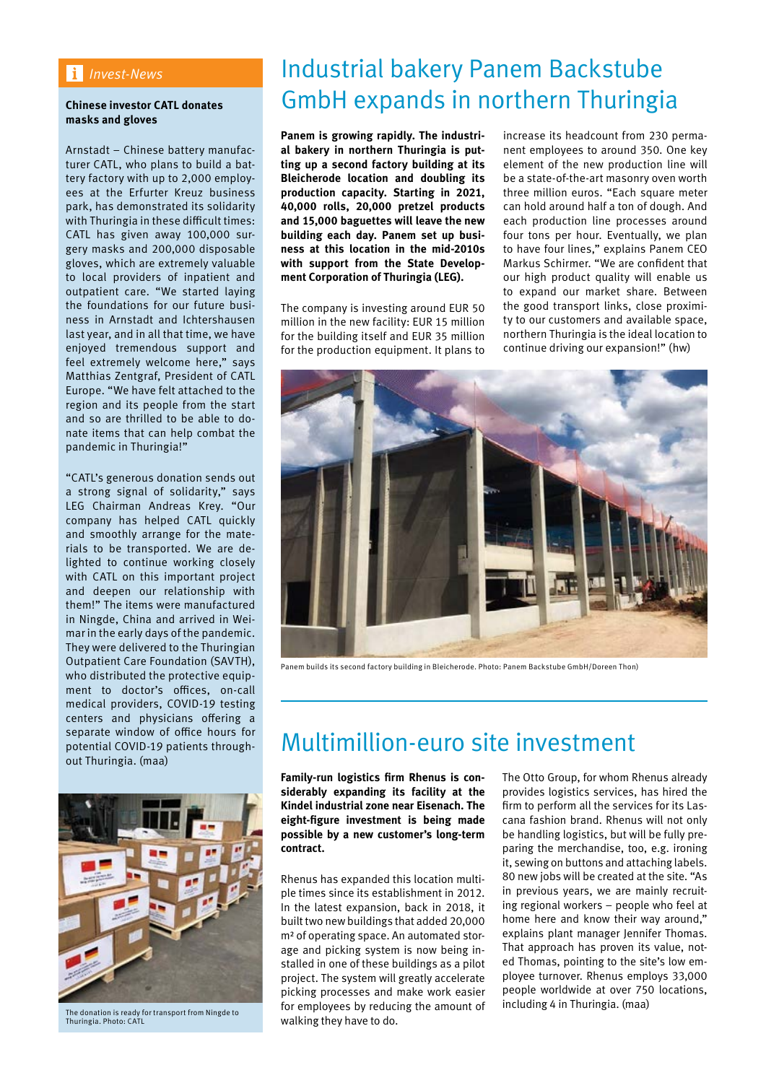### *Invest-News*

#### **Chinese investor CATL donates masks and gloves**

Arnstadt – Chinese battery manufacturer CATL, who plans to build a battery factory with up to 2,000 employees at the Erfurter Kreuz business park, has demonstrated its solidarity with Thuringia in these difficult times: CATL has given away 100,000 surgery masks and 200,000 disposable gloves, which are extremely valuable to local providers of inpatient and outpatient care. "We started laying the foundations for our future business in Arnstadt and Ichtershausen last year, and in all that time, we have enjoyed tremendous support and feel extremely welcome here," says Matthias Zentgraf, President of CATL Europe. "We have felt attached to the region and its people from the start and so are thrilled to be able to donate items that can help combat the pandemic in Thuringia!"

"CATL's generous donation sends out a strong signal of solidarity," says LEG Chairman Andreas Krey. "Our company has helped CATL quickly and smoothly arrange for the materials to be transported. We are delighted to continue working closely with CATL on this important project and deepen our relationship with them!" The items were manufactured in Ningde, China and arrived in Weimar in the early days of the pandemic. They were delivered to the Thuringian Outpatient Care Foundation (SAVTH), who distributed the protective equipment to doctor's offices, on-call medical providers, COVID-19 testing centers and physicians offering a separate window of office hours for potential COVID-19 patients throughout Thuringia. (maa)



The donation is ready for transport from Ningde to Thuringia. Photo: CATL

# Industrial bakery Panem Backstube GmbH expands in northern Thuringia

**Panem is growing rapidly. The industrial bakery in northern Thuringia is putting up a second factory building at its Bleicherode location and doubling its production capacity. Starting in 2021, 40,000 rolls, 20,000 pretzel products and 15,000 baguettes will leave the new building each day. Panem set up business at this location in the mid-2010s with support from the State Development Corporation of Thuringia (LEG).**

The company is investing around EUR 50 million in the new facility: EUR 15 million for the building itself and EUR 35 million for the production equipment. It plans to

increase its headcount from 230 permanent employees to around 350. One key element of the new production line will be a state-of-the-art masonry oven worth three million euros. "Each square meter can hold around half a ton of dough. And each production line processes around four tons per hour. Eventually, we plan to have four lines," explains Panem CEO Markus Schirmer. "We are confident that our high product quality will enable us to expand our market share. Between the good transport links, close proximity to our customers and available space, northern Thuringia is the ideal location to continue driving our expansion!" (hw)



Panem builds its second factory building in Bleicherode. Photo: Panem Backstube GmbH/Doreen Thon)

### Multimillion-euro site investment

**Family-run logistics firm Rhenus is considerably expanding its facility at the Kindel industrial zone near Eisenach. The eight-figure investment is being made possible by a new customer's long-term contract.** 

Rhenus has expanded this location multiple times since its establishment in 2012. In the latest expansion, back in 2018, it built two new buildings that added 20,000 m² of operating space. An automated storage and picking system is now being installed in one of these buildings as a pilot project. The system will greatly accelerate picking processes and make work easier for employees by reducing the amount of walking they have to do.

The Otto Group, for whom Rhenus already provides logistics services, has hired the firm to perform all the services for its Lascana fashion brand. Rhenus will not only be handling logistics, but will be fully preparing the merchandise, too, e.g. ironing it, sewing on buttons and attaching labels. 80 new jobs will be created at the site. "As in previous years, we are mainly recruiting regional workers – people who feel at home here and know their way around," explains plant manager Jennifer Thomas. That approach has proven its value, noted Thomas, pointing to the site's low employee turnover. Rhenus employs 33,000 people worldwide at over 750 locations, including 4 in Thuringia. (maa)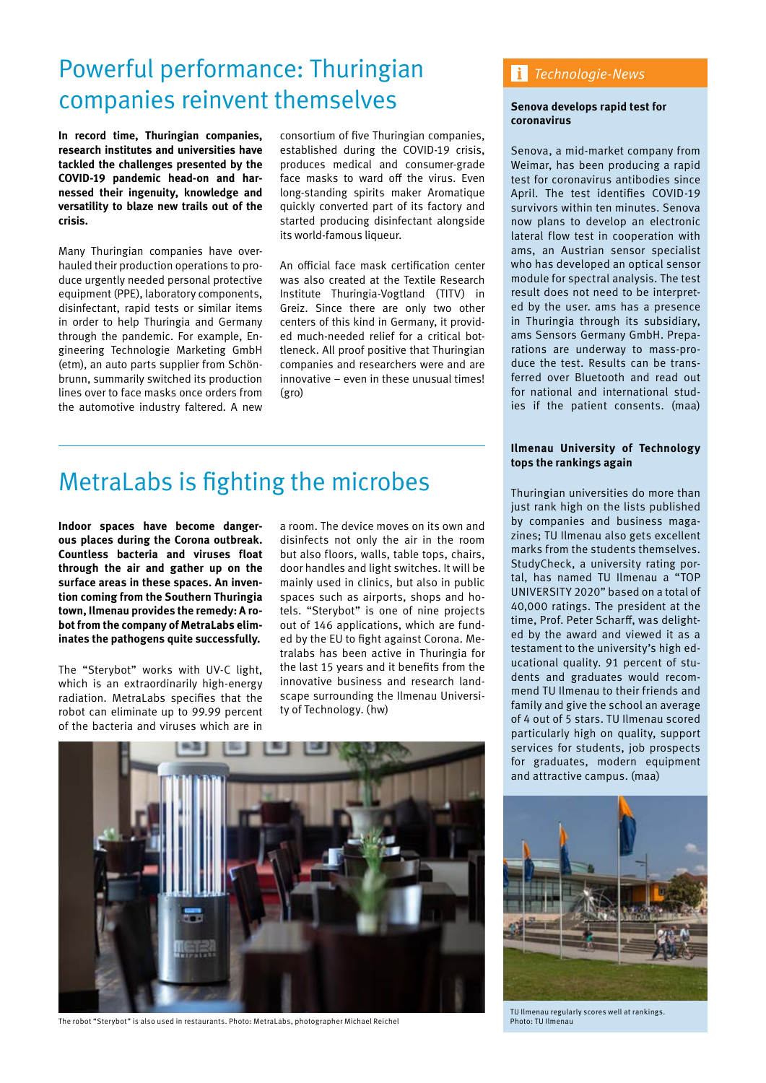# Powerful performance: Thuringian companies reinvent themselves

**In record time, Thuringian companies, research institutes and universities have tackled the challenges presented by the COVID-19 pandemic head-on and harnessed their ingenuity, knowledge and versatility to blaze new trails out of the crisis.** 

Many Thuringian companies have overhauled their production operations to produce urgently needed personal protective equipment (PPE), laboratory components, disinfectant, rapid tests or similar items in order to help Thuringia and Germany through the pandemic. For example, Engineering Technologie Marketing GmbH (etm), an auto parts supplier from Schönbrunn, summarily switched its production lines over to face masks once orders from the automotive industry faltered. A new

consortium of five Thuringian companies, established during the COVID-19 crisis, produces medical and consumer-grade face masks to ward off the virus. Even long-standing spirits maker Aromatique quickly converted part of its factory and started producing disinfectant alongside its world-famous liqueur.

An official face mask certification center was also created at the Textile Research Institute Thuringia-Vogtland (TITV) in Greiz. Since there are only two other centers of this kind in Germany, it provided much-needed relief for a critical bottleneck. All proof positive that Thuringian companies and researchers were and are innovative – even in these unusual times! (gro)

# MetraLabs is fighting the microbes

**Indoor spaces have become dangerous places during the Corona outbreak. Countless bacteria and viruses float through the air and gather up on the surface areas in these spaces. An invention coming from the Southern Thuringia town, Ilmenau provides the remedy: A robot from the company of MetraLabs eliminates the pathogens quite successfully.**

The "Sterybot" works with UV-C light, which is an extraordinarily high-energy radiation. MetraLabs specifies that the robot can eliminate up to 99.99 percent of the bacteria and viruses which are in

a room. The device moves on its own and disinfects not only the air in the room but also floors, walls, table tops, chairs, door handles and light switches. It will be mainly used in clinics, but also in public spaces such as airports, shops and hotels. "Sterybot" is one of nine projects out of 146 applications, which are funded by the EU to fight against Corona. Metralabs has been active in Thuringia for the last 15 years and it benefits from the innovative business and research landscape surrounding the Ilmenau University of Technology. (hw)



The robot "Sterybot" is also used in restaurants. Photo: MetraLabs, photographer Michael Reichel

### *Technologie-News*

#### **Senova develops rapid test for coronavirus**

Senova, a mid-market company from Weimar, has been producing a rapid test for coronavirus antibodies since April. The test identifies COVID-19 survivors within ten minutes. Senova now plans to develop an electronic lateral flow test in cooperation with ams, an Austrian sensor specialist who has developed an optical sensor module for spectral analysis. The test result does not need to be interpreted by the user. ams has a presence in Thuringia through its subsidiary, ams Sensors Germany GmbH. Preparations are underway to mass-produce the test. Results can be transferred over Bluetooth and read out for national and international studies if the patient consents. (maa)

#### **Ilmenau University of Technology tops the rankings again**

Thuringian universities do more than just rank high on the lists published by companies and business magazines; TU Ilmenau also gets excellent marks from the students themselves. StudyCheck, a university rating portal, has named TU Ilmenau a "TOP UNIVERSITY 2020" based on a total of 40,000 ratings. The president at the time, Prof. Peter Scharff, was delighted by the award and viewed it as a testament to the university's high educational quality. 91 percent of students and graduates would recommend TU Ilmenau to their friends and family and give the school an average of 4 out of 5 stars. TU Ilmenau scored particularly high on quality, support services for students, job prospects for graduates, modern equipment and attractive campus. (maa)



TU Ilmenau regularly scores well at rankings. Photo: TU Ilmenau